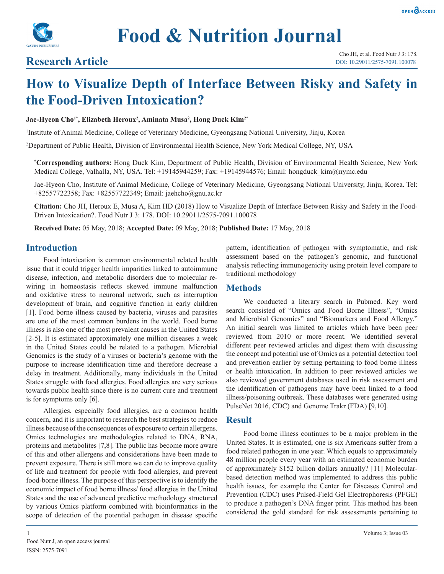



# **Research Article**

# **How to Visualize Depth of Interface Between Risky and Safety in the Food-Driven Intoxication?**

#### **Jae-Hyeon Cho1\*, Elizabeth Heroux2 , Aminata Musa2 , Hong Duck Kim2\***

1 Institute of Animal Medicine, College of Veterinary Medicine, Gyeongsang National University, Jinju, Korea

2 Department of Public Health, Division of Environmental Health Science, New York Medical College, NY, USA

**\* Corresponding authors:** Hong Duck Kim, Department of Public Health, Division of Environmental Health Science, New York Medical College, Valhalla, NY, USA. Tel: +19145944259; Fax: +19145944576; Email: hongduck kim@nymc.edu

Jae-Hyeon Cho, Institute of Animal Medicine, College of Veterinary Medicine, Gyeongsang National University, Jinju, Korea. Tel: +82557722358; Fax: +82557722349; Email: jaehcho@gnu.ac.kr

**Citation:** Cho JH, Heroux E, Musa A, Kim HD (2018) How to Visualize Depth of Interface Between Risky and Safety in the Food-Driven Intoxication?. Food Nutr J 3: 178. DOI: 10.29011/2575-7091.100078

**Received Date:** 05 May, 2018; **Accepted Date:** 09 May, 2018; **Published Date:** 17 May, 2018

## **Introduction**

Food intoxication is common environmental related health issue that it could trigger health imparities linked to autoimmune disease, infection, and metabolic disorders due to molecular rewiring in homeostasis reflects skewed immune malfunction and oxidative stress to neuronal network, such as interruption development of brain, and cognitive function in early children [1]. Food borne illness caused by bacteria, viruses and parasites are one of the most common burdens in the world. Food borne illness is also one of the most prevalent causes in the United States [2-5]. It is estimated approximately one million diseases a week in the United States could be related to a pathogen. Microbial Genomics is the study of a viruses or bacteria's genome with the purpose to increase identification time and therefore decrease a delay in treatment. Additionally, many individuals in the United States struggle with food allergies. Food allergies are very serious towards public health since there is no current cure and treatment is for symptoms only [6].

Allergies, especially food allergies, are a common health concern, and it is important to research the best strategies to reduce illness because of the consequences of exposure to certain allergens. Omics technologies are methodologies related to DNA, RNA, proteins and metabolites [7,8]. The public has become more aware of this and other allergens and considerations have been made to prevent exposure. There is still more we can do to improve quality of life and treatment for people with food allergies, and prevent food-borne illness. The purpose of this perspective is to identify the economic impact of food borne illness/ food allergies in the United States and the use of advanced predictive methodology structured by various Omics platform combined with bioinformatics in the scope of detection of the potential pathogen in disease specific

pattern, identification of pathogen with symptomatic, and risk assessment based on the pathogen's genomic, and functional analysis reflecting immunogenicity using protein level compare to traditional methodology

## **Methods**

We conducted a literary search in Pubmed. Key word search consisted of "Omics and Food Borne Illness", "Omics and Microbial Genomics" and "Biomarkers and Food Allergy." An initial search was limited to articles which have been peer reviewed from 2010 or more recent. We identified several different peer reviewed articles and digest them with discussing the concept and potential use of Omics as a potential detection tool and prevention earlier by setting pertaining to food borne illness or health intoxication. In addition to peer reviewed articles we also reviewed government databases used in risk assessment and the identification of pathogens may have been linked to a food illness/poisoning outbreak. These databases were generated using PulseNet 2016, CDC) and Genome Trakr (FDA) [9,10].

#### **Result**

Food borne illness continues to be a major problem in the United States. It is estimated, one is six Americans suffer from a food related pathogen in one year. Which equals to approximately 48 million people every year with an estimated economic burden of approximately \$152 billion dollars annually? [11] Molecularbased detection method was implemented to address this public health issues, for example the Center for Diseases Control and Prevention (CDC) uses Pulsed-Field Gel Electrophoresis (PFGE) to produce a pathogen's DNA finger print. This method has been considered the gold standard for risk assessments pertaining to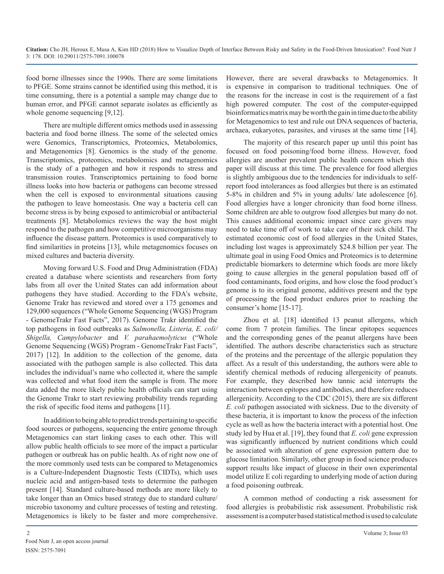food borne illnesses since the 1990s. There are some limitations to PFGE. Some strains cannot be identified using this method, it is time consuming, there is a potential a sample may change due to human error, and PFGE cannot separate isolates as efficiently as whole genome sequencing [9,12].

There are multiple different omics methods used in assessing bacteria and food borne illness. The some of the selected omics were Genomics, Transcriptomics, Proteomics, Metabolomics, and Metagenomics [8]. Genomics is the study of the genome. Transcriptomics, proteomics, metabolomics and metagenomics is the study of a pathogen and how it responds to stress and transmission routes. Transcriptomics pertaining to food borne illness looks into how bacteria or pathogens can become stressed when the cell is exposed to environmental situations causing the pathogen to leave homeostasis. One way a bacteria cell can become stress is by being exposed to antimicrobial or antibacterial treatments [8]. Metabolomics reviews the way the host might respond to the pathogen and how competitive microorganisms may influence the disease pattern. Proteomics is used comparatively to find similarities in proteins [13], while metagenomics focuses on mixed cultures and bacteria diversity.

Moving forward U.S. Food and Drug Administration (FDA) created a database where scientists and researchers from forty labs from all over the United States can add information about pathogens they have studied. According to the FDA's website, Genome Trakr has reviewed and stored over a 175 genomes and 129,000 sequences ("Whole Genome Sequencing (WGS) Program - GenomeTrakr Fast Facts", 2017). Genome Trakr identified the top pathogens in food outbreaks as *Salmonella, Listeria, E. coli/ Shigella, Campylobacter* and *V. parahaemolyticus* ("Whole Genome Sequencing (WGS) Program - GenomeTrakr Fast Facts", 2017) [12]. In addition to the collection of the genome, data associated with the pathogen sample is also collected. This data includes the individual's name who collected it, where the sample was collected and what food item the sample is from. The more data added the more likely public health officials can start using the Genome Trakr to start reviewing probability trends regarding the risk of specific food items and pathogens [11].

In addition to being able to predict trends pertaining to specific food sources or pathogens, sequencing the entire genome through Metagenomics can start linking cases to each other. This will allow public health officials to see more of the impact a particular pathogen or outbreak has on public health. As of right now one of the more commonly used tests can be compared to Metagenomics is a Culture-Independent Diagnostic Tests (CIDTs), which uses nucleic acid and antigen-based tests to determine the pathogen present [14]. Standard culture-based methods are more likely to take longer than an Omics based strategy due to standard culture/ microbio taxonomy and culture processes of testing and retesting. Metagenomics is likely to be faster and more comprehensive.

However, there are several drawbacks to Metagenomics. It is expensive in comparison to traditional techniques. One of the reasons for the increase in cost is the requirement of a fast high powered computer. The cost of the computer-equipped bioinformatics matrix may be worth the gain in time due to the ability for Metagenomics to test and rule out DNA sequences of bacteria, archaea, eukaryotes, parasites, and viruses at the same time [14].

The majority of this research paper up until this point has focused on food poisoning/food borne illness. However, food allergies are another prevalent public health concern which this paper will discuss at this time. The prevalence for food allergies is slightly ambiguous due to the tendencies for individuals to selfreport food intolerances as food allergies but there is an estimated 5-8% in children and 5% in young adults/ late adolescence [6]. Food allergies have a longer chronicity than food borne illness. Some children are able to outgrow food allergies but many do not. This causes additional economic impact since care givers may need to take time off of work to take care of their sick child. The estimated economic cost of food allergies in the United States, including lost wages is approximately \$24.8 billion per year. The ultimate goal in using Food Omics and Proteomics is to determine predictable biomarkers to determine which foods are more likely going to cause allergies in the general population based off of food contaminants, food origins, and how close the food product's genome is to its original genome, additives present and the type of processing the food product endures prior to reaching the consumer's home [15-17].

Zhou et al. [18] identified 13 peanut allergens, which come from 7 protein families. The linear epitopes sequences and the corresponding genes of the peanut allergens have been identified. The authors describe characteristics such as structure of the proteins and the percentage of the allergic population they affect. As a result of this understanding, the authors were able to identify chemical methods of reducing allergenicity of peanuts. For example, they described how tannic acid interrupts the interaction between epitopes and antibodies, and therefore reduces allergenicity. According to the CDC (2015), there are six different *E. coli* pathogen associated with sickness. Due to the diversity of these bacteria, it is important to know the process of the infection cycle as well as how the bacteria interact with a potential host. One study led by Hua et al. [19], they found that *E. coli* gene expression was significantly influenced by nutrient conditions which could be associated with alteration of gene expression pattern due to glucose limitation. Similarly, other group in food science produces support results like impact of glucose in their own experimental model utilize E coli regarding to underlying mode of action during a food poisoning outbreak.

A common method of conducting a risk assessment for food allergies is probabilistic risk assessment. Probabilistic risk assessment is a computer based statistical method is used to calculate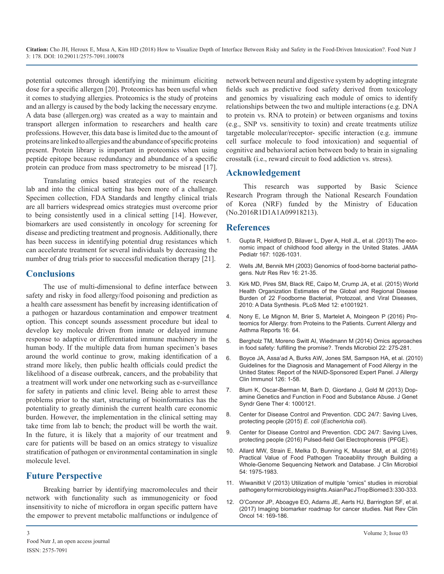**Citation:** Cho JH, Heroux E, Musa A, Kim HD (2018) How to Visualize Depth of Interface Between Risky and Safety in the Food-Driven Intoxication?. Food Nutr J 3: 178. DOI: 10.29011/2575-7091.100078

potential outcomes through identifying the minimum eliciting dose for a specific allergen [20]. Proteomics has been useful when it comes to studying allergies. Proteomics is the study of proteins and an allergy is caused by the body lacking the necessary enzyme. A data base (allergen.org) was created as a way to maintain and transport allergen information to researchers and health care professions. However, this data base is limited due to the amount of proteins are linked to allergies and the abundance of specific proteins present. Protein library is important in proteomics when using peptide epitope because redundancy and abundance of a specific protein can produce from mass spectrometry to be misread [17].

Translating omics based strategies out of the research lab and into the clinical setting has been more of a challenge. Specimen collection, FDA Standards and lengthy clinical trials are all barriers widespread omics strategies must overcome prior to being consistently used in a clinical setting [14]. However, biomarkers are used consistently in oncology for screening for disease and predicting treatment and prognosis. Additionally, there has been success in identifying potential drug resistances which can accelerate treatment for several individuals by decreasing the number of drug trials prior to successful medication therapy [21].

# **Conclusions**

The use of multi-dimensional to define interface between safety and risky in food allergy/food poisoning and prediction as a health care assessment has benefit by increasing identification of a pathogen or hazardous contamination and empower treatment [option. This concept sounds assessment procedure but ideal to](http://europepmc.org/abstract/med/27534655)  develop key molecule driven from innate or delayed immune response to adaptive or differentiated immune machinery in the [human body. If the multiple data from human specimen's bases](https://www.ncbi.nlm.nih.gov/pmc/articles/PMC4016976/)  around the world continue to grow, making identification of a [strand more likely, then public health officials could predict the](https://www.ncbi.nlm.nih.gov/pmc/articles/PMC4241964/)  likelihood of a disease outbreak, cancers, and the probability that a treatment will work under one networking such as e-surveillance for safety in patients and clinic level. Being able to arrest these problems prior to the start, structuring of bioinformatics has the potentiality to greatly diminish the current health care economic [burden. However, the implementation in the clinical setting may](https://www.cdc.gov/ecoli/index.html)  take time from lab to bench; the product will be worth the wait. In the future, it is likely that a majority of our treatment and care for patients will be based on an omics strategy to visualize stratification of pathogen or environmental contamination in single molecule level.

# **Future Perspective**

[Breaking barrier by identifying macromolecules and their](https://www.ncbi.nlm.nih.gov/pmc/articles/PMC3634934/)  network with functionality such as immunogenicity or food [insensitivity to niche of microflora in organ specific pattern have](https://www.ncbi.nlm.nih.gov/pubmed/27725679)  the empower to prevent metabolic malfunctions or indulgence of network between neural and digestive system by adopting integrate fields such as predictive food safety derived from toxicology and genomics by visualizing each module of omics to identify relationships between the two and multiple interactions (e.g. DNA to protein vs. RNA to protein) or between organisms and toxins (e.g., SNP vs. sensitivity to toxin) and create treatments utilize targetable molecular/receptor- specific interaction (e.g. immune cell surface molecule to food intoxication) and sequential of cognitive and behavioral action between body to brain in signaling crosstalk (i.e., reward circuit to food addiction vs. stress).

# **Acknowledgement**

This research was supported by Basic Science Research Program through the National Research Foundation of Korea (NRF) funded by the Ministry of Education (No.2016R1D1A1A09918213).

# **References**

- 1. [Gupta R, Holdford D, Bilaver L, Dyer A, Holl JL, et al. \(2013\) The eco](https://www.ncbi.nlm.nih.gov/pubmed/24042236)[nomic impact of childhood food allergy in the United States. JAMA](https://www.ncbi.nlm.nih.gov/pubmed/24042236)  [Pediatr 167: 1026-1031.](https://www.ncbi.nlm.nih.gov/pubmed/24042236)
- 2. [Wells JM, Bennik MH \(2003\) Genomics of food-borne bacterial patho](https://www.ncbi.nlm.nih.gov/pubmed/19079934)[gens. Nutr Res Rev 16: 21-35.](https://www.ncbi.nlm.nih.gov/pubmed/19079934)
- 3. [Kirk MD, Pires SM, Black RE, Caipo M, Crump JA, et al. \(2015\) World](https://www.ncbi.nlm.nih.gov/pubmed/26633831)  [Health Organization Estimates of the Global and Regional Disease](https://www.ncbi.nlm.nih.gov/pubmed/26633831)  [Burden of 22 Foodborne Bacterial, Protozoal, and Viral Diseases,](https://www.ncbi.nlm.nih.gov/pubmed/26633831)  [2010: A Data Synthesis. PLoS Med 12: e1001921.](https://www.ncbi.nlm.nih.gov/pubmed/26633831)
- 4. [Nony E, Le Mignon M, Brier S, Martelet A, Moingeon P \(2016\) Pro](http://europepmc.org/abstract/med/27534655)teomics for Allergy: from Proteins to the Patients. Current Allergy and [Asthma Reports 16: 64.](http://europepmc.org/abstract/med/27534655)
- 5. [Bergholz TM, Moreno Switt AI, Wiedmann M \(2014\) Omics approache](https://www.ncbi.nlm.nih.gov/pmc/articles/PMC4016976/)s in food safety: fulfilling the promise?. Trends Microbiol 22: 275-281.
- 6. [Boyce JA, Assa'ad A, Burks AW, Jones SM, Sampson HA, et al. \(2010](https://www.ncbi.nlm.nih.gov/pmc/articles/PMC4241964/)) Guidelines for the Diagnosis and Management of Food Allergy in the [United States: Report of the NIAID-Sponsored Expert Panel. J Allergy](https://www.ncbi.nlm.nih.gov/pmc/articles/PMC4241964/)  [Clin Immunol 126: 1-58](https://www.ncbi.nlm.nih.gov/pmc/articles/PMC4241964/).
- 7. [Blum K, Oscar-Berman M, Barh D, Giordano J, Gold M \(2013\) Dop](https://www.ncbi.nlm.nih.gov/pmc/articles/PMC3609029/)[amine Genetics and Function in Food and Substance Abuse. J Genet](https://www.ncbi.nlm.nih.gov/pmc/articles/PMC3609029/)  [Syndr Gene Ther 4: 1000121.](https://www.ncbi.nlm.nih.gov/pmc/articles/PMC3609029/)
- 8. [Center for Disease Control and Prevention. CDC 24/7: Saving Lives,](https://www.cdc.gov/ecoli/index.html)  protecting people (2015) *E. coli* (*Escherichia coli*).
- 9. [Center for Disease Control and Prevention. CDC 24/7: Saving Lives,](https://www.cdc.gov/pulsenet/pathogens/pfge.html)  [protecting people \(2016\) Pulsed-field Gel Electrophoresis \(PFGE\)](https://www.cdc.gov/pulsenet/pathogens/pfge.html).
- 10. [Allard MW, Strain E, Melka D, Bunning K, Musser SM, et al. \(2016\)](https://www.ncbi.nlm.nih.gov/pubmed/27008877)  [Practical Value of Food Pathogen Traceability through Building a](https://www.ncbi.nlm.nih.gov/pubmed/27008877)  [Whole-Genome Sequencing Network and Database. J Clin Microbiol](https://www.ncbi.nlm.nih.gov/pubmed/27008877)  [54: 1975-1983](https://www.ncbi.nlm.nih.gov/pubmed/27008877).
- 11. [Wiwanitkit V \(2013\) Utilization of multiple "omics" studies in microbial](https://www.ncbi.nlm.nih.gov/pmc/articles/PMC3634934/)  pathogeny for microbiology insights. Asian Pac J Trop Biomed 3: 330-333.
- 12. [O'Connor JP, Aboagye EO, Adams JE, Aerts HJ, Barrington SF, et al.](https://www.ncbi.nlm.nih.gov/pubmed/27725679) (2017) Imaging biomarker roadmap for cancer studies. Nat Rev Clin [Oncol 14: 169-186](https://www.ncbi.nlm.nih.gov/pubmed/27725679).